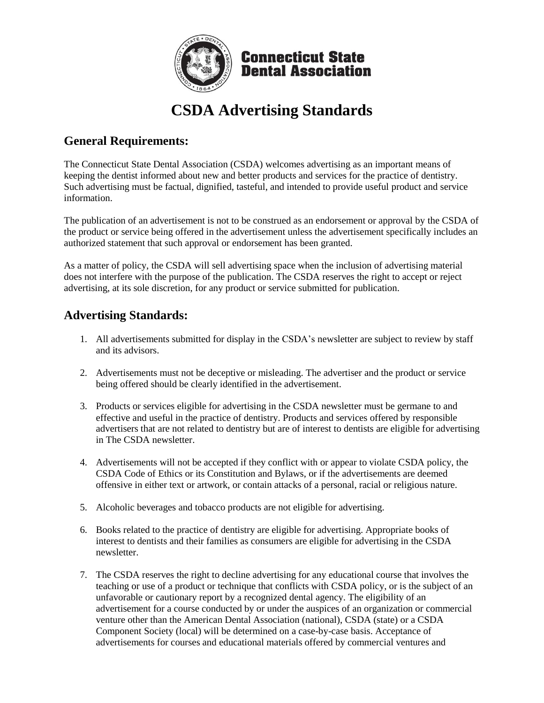

## **CSDA Advertising Standards**

## **General Requirements:**

The Connecticut State Dental Association (CSDA) welcomes advertising as an important means of keeping the dentist informed about new and better products and services for the practice of dentistry. Such advertising must be factual, dignified, tasteful, and intended to provide useful product and service information.

The publication of an advertisement is not to be construed as an endorsement or approval by the CSDA of the product or service being offered in the advertisement unless the advertisement specifically includes an authorized statement that such approval or endorsement has been granted.

As a matter of policy, the CSDA will sell advertising space when the inclusion of advertising material does not interfere with the purpose of the publication. The CSDA reserves the right to accept or reject advertising, at its sole discretion, for any product or service submitted for publication.

### **Advertising Standards:**

- 1. All advertisements submitted for display in the CSDA's newsletter are subject to review by staff and its advisors.
- 2. Advertisements must not be deceptive or misleading. The advertiser and the product or service being offered should be clearly identified in the advertisement.
- 3. Products or services eligible for advertising in the CSDA newsletter must be germane to and effective and useful in the practice of dentistry. Products and services offered by responsible advertisers that are not related to dentistry but are of interest to dentists are eligible for advertising in The CSDA newsletter.
- 4. Advertisements will not be accepted if they conflict with or appear to violate CSDA policy, the CSDA Code of Ethics or its Constitution and Bylaws, or if the advertisements are deemed offensive in either text or artwork, or contain attacks of a personal, racial or religious nature.
- 5. Alcoholic beverages and tobacco products are not eligible for advertising.
- 6. Books related to the practice of dentistry are eligible for advertising. Appropriate books of interest to dentists and their families as consumers are eligible for advertising in the CSDA newsletter.
- 7. The CSDA reserves the right to decline advertising for any educational course that involves the teaching or use of a product or technique that conflicts with CSDA policy, or is the subject of an unfavorable or cautionary report by a recognized dental agency. The eligibility of an advertisement for a course conducted by or under the auspices of an organization or commercial venture other than the American Dental Association (national), CSDA (state) or a CSDA Component Society (local) will be determined on a case-by-case basis. Acceptance of advertisements for courses and educational materials offered by commercial ventures and